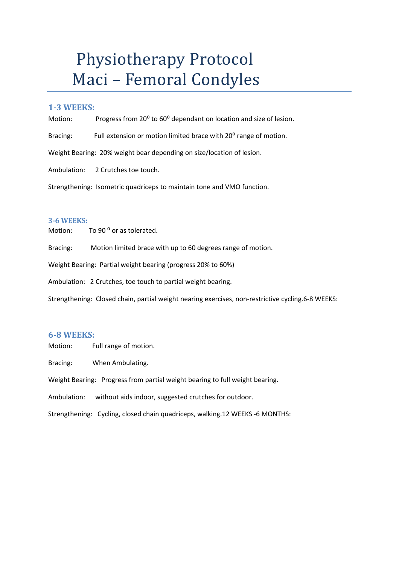# Physiotherapy Protocol Maci - Femoral Condyles

### **1-3 WEEKS:**

Motion: Progress from 20<sup>°</sup> to 60<sup>°</sup> dependant on location and size of lesion.

Bracing: Full extension or motion limited brace with 20<sup>°</sup> range of motion.

Weight Bearing: 20% weight bear depending on size/location of lesion.

Ambulation: 2 Crutches toe touch.

Strengthening: Isometric quadriceps to maintain tone and VMO function.

#### **3-6 WEEKS:**

Motion: To 90<sup>°</sup> or as tolerated.

Bracing: Motion limited brace with up to 60 degrees range of motion.

Weight Bearing: Partial weight bearing (progress 20% to 60%)

Ambulation: 2 Crutches, toe touch to partial weight bearing.

Strengthening: Closed chain, partial weight nearing exercises, non-restrictive cycling.6-8 WEEKS:

#### **6-8 WEEKS:**

Motion: Full range of motion.

Bracing: When Ambulating.

Weight Bearing: Progress from partial weight bearing to full weight bearing.

Ambulation: without aids indoor, suggested crutches for outdoor.

Strengthening: Cycling, closed chain quadriceps, walking.12 WEEKS -6 MONTHS: